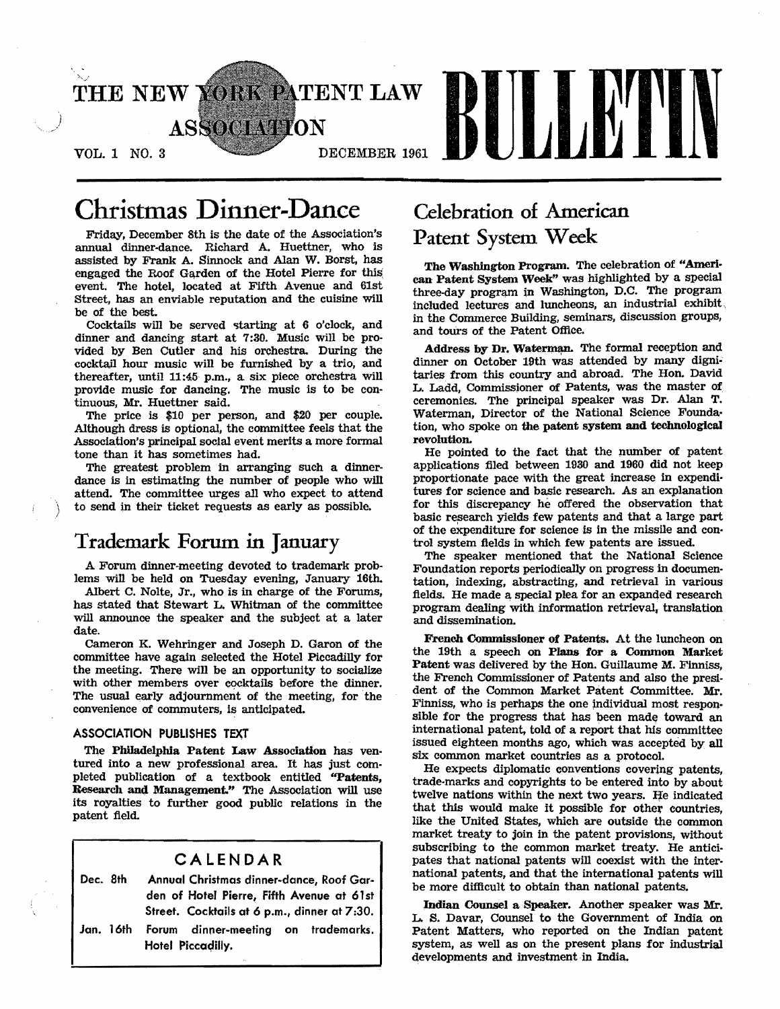

# Christmas Dinner-Dance

Friday, December 8th is the date of the Association's annual dinner·dance. Richard A. Huettner, who is assisted by Frank A. Sinnock and Alan W. Borst, has engaged the Roof Garden of the Hotel Pierre for this' event. The hotel, located at Fifth Avenue and 61st Street, has an enviable reputation and the cuisine will be of the best.

Cocktails will be served starting at 6 o'clock, and dinner and dancing start at 7:30. Music will be provided by Ben Cutler and his orchestra. During the cocktail hour music will be furnished by a trio, and thereafter, until 11:45 p.m., a six piece orchestra will provide music for dancing. The music is to be con· tinuous, Mr. Huettner said.

The price is \$10 per person, and \$20 per couple. Although dress is optional, the committee feels that the Association's principal social event merits a more formal tone than it has sometimes had.

The greatest problem in arranging such a dinner· dance is in estimating the number of people who will attend. The committee urges all who expect to attend to send in their ticket requests as early as possible.

## Trademark Forum in January

A Forum dinner·meeting devoted to trademark prob. lems will be held on Tuesday evening, January 16th.

Albert C. Nolte, Jr., who is in charge of the Forums, has stated that Stewart L. Whitman of the committee will announce the speaker and the subject at a later date.

Cameron K. Wehringer and Joseph D. Garon of the committee have again selected the Hotel Piccadilly for the meeting. There will be an opportunity to socialize with other members over cocktails before the dinner. The usual early adjournment of the meeting, for the convenience of commuters, is anticipated.

### ASSOCIATION PUBLISHES TEXT

The Philadelpbia Patent Law Association has ventured into a new professional area. It has just completed publication of a textbook entitled "Patents, Research and Management." The Association will use its royalties to further good public relations in the patent field.

## CALENDAR Dec. 8th Annual Christmas dinner-dance, Roof Garden of Hotel Pierre, Fifth Avenue at 61st Street. Cocktails at 6 p.m., dinner at 7:30. Jan. 16th Forum dinner-meeting on trademarks. Hotel Piccadilly.

## Celebration of American Patent System Week

The Washington Program. The celebration of "Ameri· can Patent System Week" was highlighted by a special three-day program in Washington, D.C. The program included lectures and luncheons, an industrial exhibit, in the Commerce Building, seminars, discussion groups, and tours of the Patent Office.

Address by Dr. Waterman. The formal reception and dinner on October 19th was attended by many dignitaries from this country and abroad. The Hon. David L. Ladd, Commissioner of Patents, was the master of ceremonies. The principal speaker was Dr. Alan T. Waterman, Director of the National Science Foundation, who spoke on the patent system and technological revolution.

He pointed to the fact that the number of patent applications filed between 1930 and 1960 did not keep proportionate pace with the great increase in expendi· tures for science and basic research. As an explanation for this discrepancy he offered the observation that basic research yields few patents and that a large part of the expenditure for science is in the missile and control system fields in which few patents are issued.

The speaker mentioned that the National Science Foundation reports periodically on progress in documentation, indexing, abstracting, and retrieval in various fields. He made a special plea for an expanded research program dealing with information retrieval, translation and dissemination.

French Commissioner of Patents. At the luncheon on the 19th a speech on Plans for a Common Market Patent was delivered by the Hon. Guillaume M. Finniss, the French Commissioner of Patents and also the president of the Common Market Patent Committee. Mr. Finniss, who is perhaps the one jndividual most responsible for the progress that has been made toward an international patent, told of a report that his committee issued eighteen months ago, which was accepted by all six common market countries as a protocol.

He expects diplomatic conventions covering patents, trade-marks and copyrights to be entered into by about twelve nations within the next two years. He indicated that this would make it possible for other countries, like the United States, which are outside the common market treaty to join in the patent provisions, without subscribing to the common market treaty. He anticipates that national patents will coexist with the international patents, and that the international patents will be more difficult to obtain than national patents.

Indian Counsel a Speaker. Another speaker was Mr. L. S. Davar, Counsel to the Government of India on Patent Matters, who reported on the Indian patent system, as well as on the present plans for industrial developments and investment in India.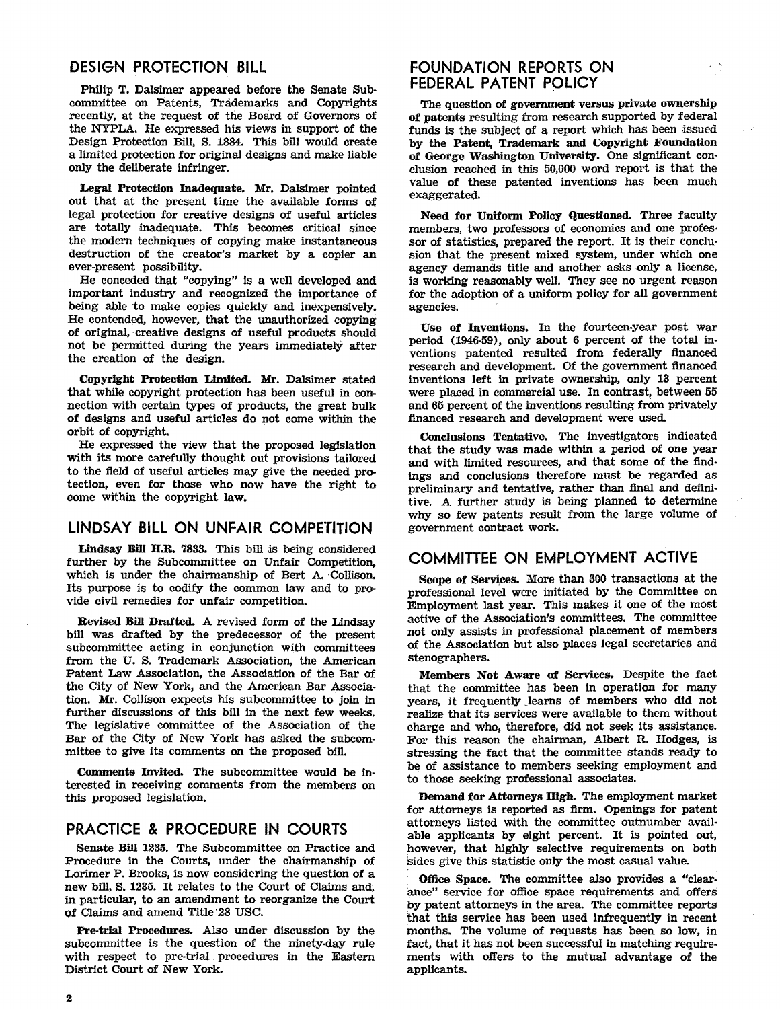### **DESIGN PROTECTION BILL**

Philip T. Dalsimer appeared before the Senate Sub· committee on Patents, Trademarks and Copyrights recently, at the request of the Board of Governors of the NYPLA. He expressed his views in support of the Design Protection Bill, S. 1884. This bill would create a limited protection for original designs and make liable only the deliberate infringer.

Legal Protection Inadequate. Mr. Dalsimer pointed out that at the present time the available forms of legal protection for creative designs of useful articles are totally inadequate. This becomes critical since the modern techniques of copying make instantaneous destruction of the creator's market by a copier an ever-present possibility.

He conceded that "copying" is a well developed and important industry and recognized the importance of being able to make copies quickly and inexpensively. He contended, however, that the unauthorized copying of original, creative designs of useful products should not be permitted during the years immediately after the creation of the design.

Copyright Protection Limited. Mr. Dalsimer stated that while copyright protection has been useful in con· nection with certain types of products, the great bulk of designs and useful articles do not come within the orbit of copyright.

He expressed the view that the proposed legislation with its more carefully thought out provisions tailored to the field of useful articles may give the needed protection, even for those who now have the right to come within the copyright law.

### **LINDSAY BILL ON UNFAIR COMPETITION**

Lindsay Bill H.R. 7833. This bill is being considered further by the Subcommittee on Unfair Competition, which is under the chairmanship of Bert A. Collison. Its purpose is to codify the common law and to provide civil remedies for unfair competition.

Revised Bill Drafted. A revised form of the Lindsay bill was drafted by the predecessor of the present subcommittee acting in conjunction with committees from the U. S. Trademark Association, the American Patent Law Association, the Association of the Bar of the City of New York, and the American Bar Association. Mr. Collison expects his subcommittee to join in further discussions of this bill in the next few weeks, The legislative committee of the Association of the Bar of the City of New York has asked the subcom· mittee to give its comments on the proposed bill.

Comments Invited. The subcommittee would be in· terested in receiving comments from the members on this proposed legislation.

### **PRACTICE & PROCEDURE IN COURTS**

Senate Bill 1285. The Subcommittee on Practice and Procedure in the Courts, under the chairmanship of Lorimer P. Brooks, is now considering the question of a new b1ll, S. 1235. It relates to the Court of Claims and, in particular, to an amendment to reorganize the Court of Claims and amend Title 28 USC.

Pre-trial Procedures. Also under discussion by the subcommittee is the question of the ninety-day rule with respect to pre-trial. procedures in the Eastern District Court of New York.

### **FOUNDATION REPORTS ON FEDERAL PATENT POLICY**

The question of government versus private ownership of patents resulting from research supported by federal funds is the subject of a report which has been issued by the Patent, Trademark and Copyright Foundation of George Washington University. One significant conclusion reached in this 50,000 word report is that the value of these patented inventions has been much exaggerated.

Need for Uniform Pollcy Questioned. Three faculty members, two professors of economics and one profes· sor of statistics, prepared the report. It is their conclu· sion that the present mixed system, under which one agency demands title and another asks only a license, is working reasonably well. They see no urgent reason for the adoption of a uniform policy for all government agencies.

Use of Inventions. In the fourteen·year post war period (1946·59), only about 6 percent of the total inventions patented resulted from federally financed research and development. Of the government financed inventions left in private ownership, only 13 percent were placed in commercial use. In contrast, between 55 and 65 percent of the inventions resulting from privately financed research and development were used.

Conclusions Tentative. The Investigators indicated that the study was made within a period of one year and with limited resources, and that some of the findings and conclusions therefore must be regarded as preliminary and tentative, rather than final and definitive. A further study is being planned to determine why so few patents result from the large volume of government contract work.

### **COMMITTEE ON EMPLOYMENT ACTIVE**

Scope of Services. More than 300 transactions at the protessional level were initiated by the Committee on Employment last year. This makes it one of the most active of the Association's committees. The committee not only assists in professional placement of members of the Association but also places legal secretaries and stenographers.

Members Not Aware of Services. Despite the fact that the committee has been in operation for many years, it frequently Jearns of members who did not realize that its services were available to them without charge and who, therefore, did not seek its assistance. For this reason the chairman, Albert R. Hodges, is stressing the fact that the committee stands ready to be of assistance to members seeking employment and to those seeking professional associates.

Demand for Attorneys High. The employment market for attorneys is reported as firm. Openings for patent attorneys listed with the committee outnumber avail· able applicants by eight percent. It is pointed out, however, that highly selective requirements on both sides give this statistic only the most casual value.

Office Space. The committee also provides a "clearance" service for ofilce space requirements and offers by patent attorneys in the area. The committee reports that this service has been used infrequently in recent months. The volume of requests has been. so low, in fact, that it has not been successful in matching requirements with offers to the mutual advantage of the applicants.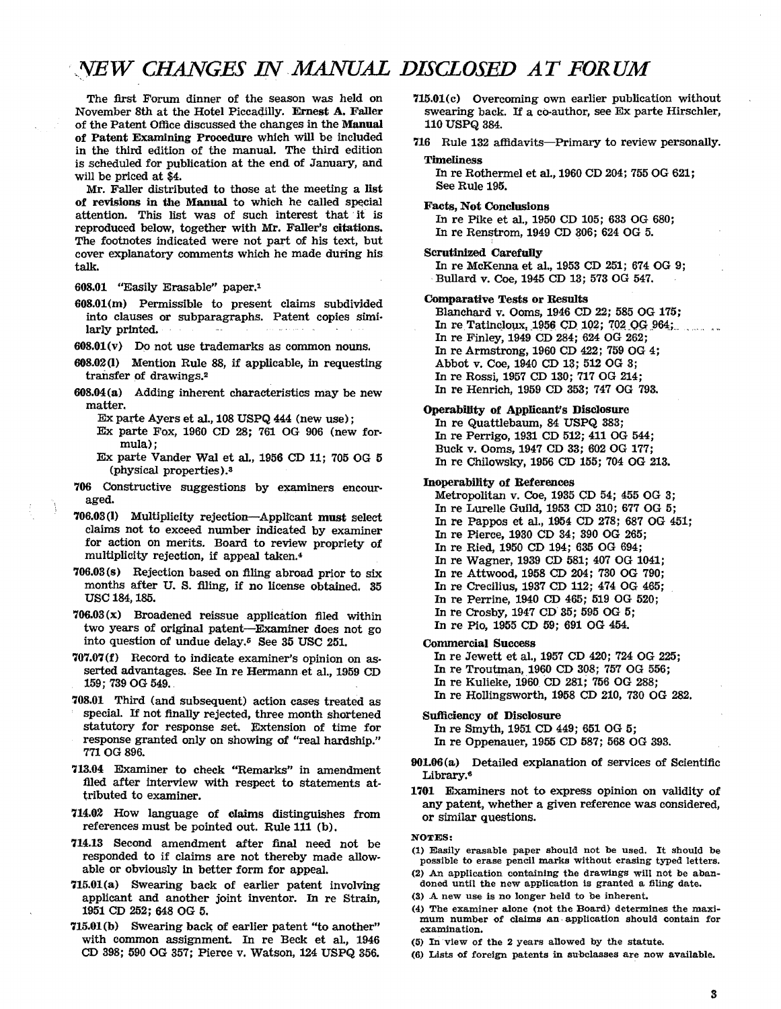## ·YEW *CHANGES IN.MANUAL DISCLOSED AT FORUM*

The first Forum dinner of the season was held on November 8th at the Hotel PiccaQilly. Ernest A. Faller of the Patent Office discussed the changes in the Manual of Patent Examining Procedure which will be included in the third edition of the manual. The third edition is scheduled for publication at the end of January, and will be priced at \$4.

Mr. Faller distributed to those at the meeting a list of revisions in the Manual to which he called special attention. This list was of such interest that it is reproduced below, together with Mr. Faller's citations. The footnotes indicated were not part of his text, but cover explanatory comments which he made during his talk.

- 608.01 "Easily Erasable" paper.l
- 608.01(m) Permissible to present claims subdivided into clauses or subparagraphs. Patent copies simi· larly printed.
- $608.01(v)$  Do not use trademarks as common nouns.
- 608.02(1) Mention Rule 88, if applicable, in requesting transfer of drawings.<sup>2</sup>
- 608.04(a) Adding inherent characteristics may be new matter.
	- Ex parte Ayers et aI., 108 USPQ 444 (new use) ;
	- Ex parte Fox, 1960 CD 28; 761 OG 906 (new formula):
	- Ex parte Vander Wal et aI., 1956 CD 11; 705 OG 5 (physical properties).a
- 706 Constructive suggestions by examiners encour aged.
- 706.03(1) Multiplicity rejection-AppIrcant must select claims not to exceed number indicated by examiner for action on merits. Board to review propriety of multiplicity rejection, if appeaI taken.'
- 706.03(s) Rejection based on filing abroad prior to six months after U. S. filing, if no license obtained. 35 USC 184, 185.
- $706.03(x)$  Broadened reissue application filed within two years of original patent-Examiner does not go into question of undue delay.<sup> $5$ </sup> See 35 USC 251.
- 707.07 (f) Record to indicate examiner's opinion on asserted advantages. See.In re Hermannet al., 1959 CD 159: 739 OG 549..
- 708.01 Third (and subsequent) action cases treated as special. If not finally rejected, three month shortened statutory for response set. Extension of time for response granted only on showing of "reaI hardship." 771 OG 896.
- 713.04 Examiner to check "Remarks" in amendment filed after interview with respect to statements attributed to examiner.
- 714.02 How language of claims distinguishes from references must be pointed out. Rule 111 (b).
- 714.13 Second amendment after finaI need not be responded to if claims are not thereby made allowable or obviously in better form for appeal.
- 715.01(a) Swearing back of earlier patent involving applicant and another joint inventor. In re Strain, 1951 CD 252: 648 OG 5.
- 715.01(b) Swearing back of earlier patent "to another" with common assignment. In re Beck et al., 1946 CD 398; 590 OG 857; Pierce v. Watson, 124 USPQ 356.
- 715.01(c) Overcoming own earlier publication without swearing back. If a co-author, see Ex parte Hirschler, 110 USPQ 884.
- 716 Rule 132 affidavits-Primary to review personally.

#### **Timeliness**

In re Rothermel et al., 1960 CD 204; 755 OG 621; See Rule 195.

Facts, Not Conclusions In re Pike et al., 1950 CD 105: 688 OG 680: In re Renstrom, 1949 CD 806; 624 OG 5.

#### Scrutinized Carefully

In re McKenna et aI., 1958 CD 251; 674 OG 9: .Bullard v. Coe, 1945 CD 13; 578 OG 547.

#### Comparative Tests or Results

Blanchard v. Ooms, 1946 CD 22: 585 OG 175; In re $Tationalau_{1}$  1956 CD 102; 702 QG 964; In re Finley, 1949 CD 284; 624 OG 262; In re Armstrong, 1960 CD 422; 759 OG 4; Abbot v. Coe, 1940 CD 13; 512 OG 3; In re ROSSi, 1957 CD 180; 717 OG 214; In re Henrich, 1959 CD 358; 7470G 798.

#### Operability of Applicant's Disclosure

In re Quattlebaum, 84 USPQ 383; In re Perrigo, 1931 CD 512; 411 OG 544; Buck v. Ooms, 1947 CD 88; 602 OG 177; In re Chilowsky, 1956 CD 155; 704 OG 213.

#### Inoperability of References

Metropolitan v. Coe, 1935 CD 54; 455 OG 3; In re Lurelle Guild, 1958 CD 310; 677 OG 5; In re Pappos et aI., 1954 CD 278; 687 OG 451; In re Pierce, 1980 CD 34; 390 OG 265; In re Ried, 1950 CD 194; 635 OG 694; In re Wagner, 1939 CD 581; 407 OG 1041; In re Attwood, 1958 CD 204: 780 OG 790; In re Crecilius, 1937 CD 112; 474 OG 465; In re Perrine, 1940 CD 465; 519 OG 520; In re Crosby, 1947 CD 35; 595 OG 5; In re Pio, 1955 CD 59; 691 OG 464.

Commercial Success

In re Jewett et al., 1957 CD 420; 724 OG 225; In re Troutman, 1960 CD 308; 757 OG 556; In re Kulleke, i960 CD 281; 756 OG 288; In re Hollingsworth, 1958 CD 210, 730 OG 282.

Sufficiency of Disclosure

In re Smyth, 1951 CD 449; 651 OG 5;

- In re Oppenauer, 1955 CD 587; 568 OG 393.
- 901.06 (a) Detailed explanation of services of Scientific Library.<sup>6</sup>
- 1701 Examiners not to express opinion on validity of any patent, whether a given reference was considered, or similar questions.

#### NOTES:

- (1) Easily erasable paper should not be used. It should be possible to erase pencil marks without erasing typed letters.
- (2) An application containing the drawings will not be abandoned until the new application is granted a filing date.
- (3) A new use is no longer held to be inherent.
- (4) The examiner alone (not the Board) determines the maximum number of claims an application should contain for examination.
- (5) In view of the 2 years allowed by the statute.
- (6) Lists of foreign patents in subclasses are now available.